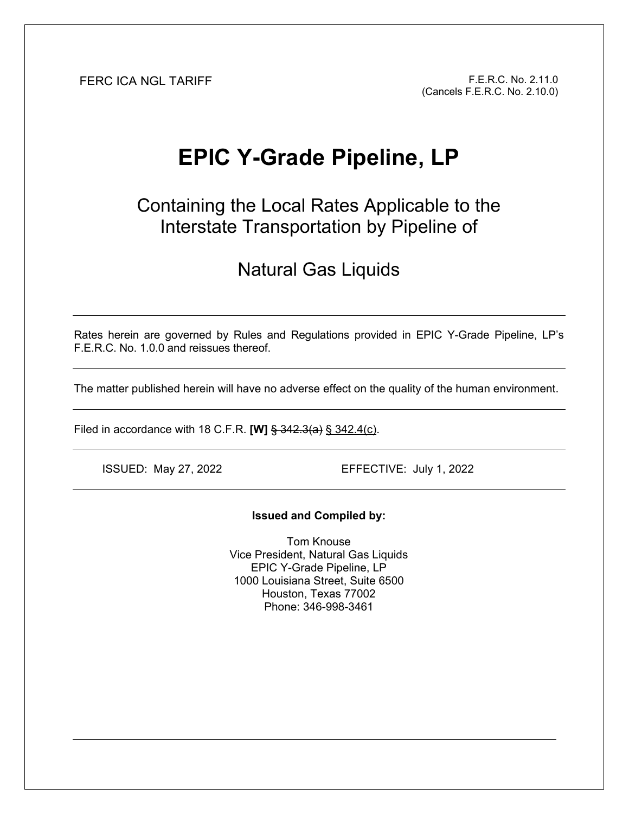FERC ICA NGL TARIFF F.E.R.C. No. 2.11.0 (Cancels F.E.R.C. No. 2.10.0)

# **EPIC Y-Grade Pipeline, LP**

Containing the Local Rates Applicable to the Interstate Transportation by Pipeline of

## Natural Gas Liquids

Rates herein are governed by Rules and Regulations provided in EPIC Y-Grade Pipeline, LP's F.E.R.C. No. 1.0.0 and reissues thereof.

The matter published herein will have no adverse effect on the quality of the human environment.

Filed in accordance with 18 C.F.R. **[W]** § 342.3(a) § 342.4(c).

ISSUED: May 27, 2022 EFFECTIVE: July 1, 2022

#### **Issued and Compiled by:**

Tom Knouse Vice President, Natural Gas Liquids EPIC Y-Grade Pipeline, LP 1000 Louisiana Street, Suite 6500 Houston, Texas 77002 Phone: 346-998-3461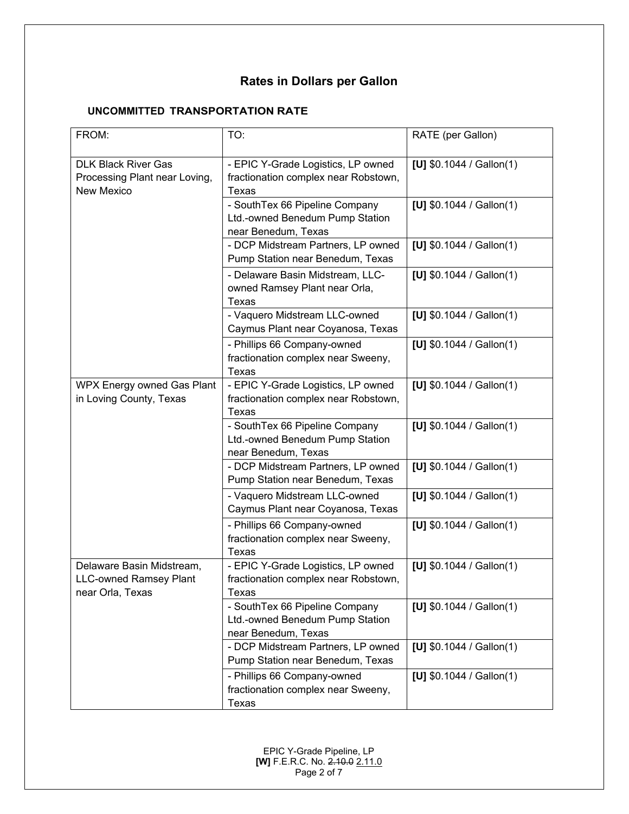### **Rates in Dollars per Gallon**

### **UNCOMMITTED TRANSPORTATION RATE**

| FROM:                                                                            | TO:                                                                                      | RATE (per Gallon)         |
|----------------------------------------------------------------------------------|------------------------------------------------------------------------------------------|---------------------------|
| <b>DLK Black River Gas</b><br>Processing Plant near Loving,<br><b>New Mexico</b> | - EPIC Y-Grade Logistics, LP owned<br>fractionation complex near Robstown,<br>Texas      | [U] $$0.1044 /$ Gallon(1) |
|                                                                                  | - SouthTex 66 Pipeline Company<br>Ltd.-owned Benedum Pump Station<br>near Benedum, Texas | [U] $$0.1044 /$ Gallon(1) |
|                                                                                  | - DCP Midstream Partners, LP owned<br>Pump Station near Benedum, Texas                   | [U] $$0.1044 /$ Gallon(1) |
|                                                                                  | - Delaware Basin Midstream, LLC-<br>owned Ramsey Plant near Orla,<br>Texas               | [U] $$0.1044 /$ Gallon(1) |
|                                                                                  | - Vaquero Midstream LLC-owned<br>Caymus Plant near Coyanosa, Texas                       | [U] $$0.1044 /$ Gallon(1) |
|                                                                                  | - Phillips 66 Company-owned<br>fractionation complex near Sweeny,<br>Texas               | [U] $$0.1044 /$ Gallon(1) |
| WPX Energy owned Gas Plant<br>in Loving County, Texas                            | - EPIC Y-Grade Logistics, LP owned<br>fractionation complex near Robstown,<br>Texas      | [U] $$0.1044 /$ Gallon(1) |
|                                                                                  | - SouthTex 66 Pipeline Company<br>Ltd.-owned Benedum Pump Station<br>near Benedum, Texas | [U] $$0.1044 /$ Gallon(1) |
|                                                                                  | - DCP Midstream Partners, LP owned<br>Pump Station near Benedum, Texas                   | [U] $$0.1044 /$ Gallon(1) |
|                                                                                  | - Vaquero Midstream LLC-owned<br>Caymus Plant near Coyanosa, Texas                       | [U] $$0.1044 /$ Gallon(1) |
|                                                                                  | - Phillips 66 Company-owned<br>fractionation complex near Sweeny,<br>Texas               | [U] $$0.1044 /$ Gallon(1) |
| Delaware Basin Midstream,<br><b>LLC-owned Ramsey Plant</b><br>near Orla, Texas   | - EPIC Y-Grade Logistics, LP owned<br>fractionation complex near Robstown,<br>Texas      | [U] $$0.1044 /$ Gallon(1) |
|                                                                                  | - SouthTex 66 Pipeline Company<br>Ltd.-owned Benedum Pump Station<br>near Benedum, Texas | [U] $$0.1044 /$ Gallon(1) |
|                                                                                  | - DCP Midstream Partners, LP owned<br>Pump Station near Benedum, Texas                   | [U] $$0.1044 /$ Gallon(1) |
|                                                                                  | - Phillips 66 Company-owned<br>fractionation complex near Sweeny,<br>Texas               | [U] $$0.1044 /$ Gallon(1) |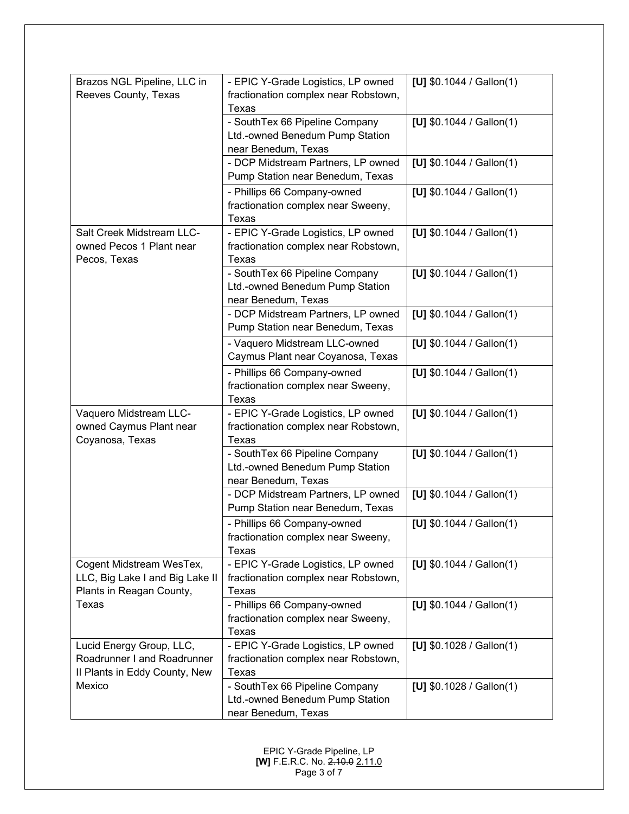| Brazos NGL Pipeline, LLC in<br>Reeves County, Texas                                              | - EPIC Y-Grade Logistics, LP owned<br>fractionation complex near Robstown,                        | [U] $$0.1044 /$ Gallon(1) |
|--------------------------------------------------------------------------------------------------|---------------------------------------------------------------------------------------------------|---------------------------|
|                                                                                                  | Texas<br>- SouthTex 66 Pipeline Company<br>Ltd.-owned Benedum Pump Station<br>near Benedum, Texas | [U] $$0.1044 /$ Gallon(1) |
|                                                                                                  | - DCP Midstream Partners, LP owned<br>Pump Station near Benedum, Texas                            | [U] $$0.1044 /$ Gallon(1) |
|                                                                                                  | - Phillips 66 Company-owned<br>fractionation complex near Sweeny,<br><b>Texas</b>                 | [U] $$0.1044 /$ Gallon(1) |
| Salt Creek Midstream LLC-<br>owned Pecos 1 Plant near<br>Pecos, Texas                            | - EPIC Y-Grade Logistics, LP owned<br>fractionation complex near Robstown,<br>Texas               | [U] $$0.1044 /$ Gallon(1) |
|                                                                                                  | - SouthTex 66 Pipeline Company<br>Ltd.-owned Benedum Pump Station<br>near Benedum, Texas          | [U] $$0.1044 /$ Gallon(1) |
|                                                                                                  | - DCP Midstream Partners, LP owned<br>Pump Station near Benedum, Texas                            | [U] $$0.1044 /$ Gallon(1) |
|                                                                                                  | - Vaquero Midstream LLC-owned<br>Caymus Plant near Coyanosa, Texas                                | [U] $$0.1044 /$ Gallon(1) |
|                                                                                                  | - Phillips 66 Company-owned<br>fractionation complex near Sweeny,<br>Texas                        | [U] $$0.1044 /$ Gallon(1) |
| Vaquero Midstream LLC-<br>owned Caymus Plant near<br>Coyanosa, Texas                             | - EPIC Y-Grade Logistics, LP owned<br>fractionation complex near Robstown,<br>Texas               | [U] $$0.1044 /$ Gallon(1) |
|                                                                                                  | - SouthTex 66 Pipeline Company<br>Ltd.-owned Benedum Pump Station<br>near Benedum, Texas          | [U] $$0.1044 /$ Gallon(1) |
|                                                                                                  | - DCP Midstream Partners, LP owned<br>Pump Station near Benedum, Texas                            | [U] $$0.1044 /$ Gallon(1) |
|                                                                                                  | - Phillips 66 Company-owned<br>fractionation complex near Sweeny,<br>Texas                        | [U] $$0.1044 /$ Gallon(1) |
| Cogent Midstream WesTex,<br>LLC, Big Lake I and Big Lake II<br>Plants in Reagan County,<br>Texas | - EPIC Y-Grade Logistics, LP owned<br>fractionation complex near Robstown,<br><b>Texas</b>        | [U] $$0.1044 /$ Gallon(1) |
|                                                                                                  | - Phillips 66 Company-owned<br>fractionation complex near Sweeny,<br><b>Texas</b>                 | [U] $$0.1044 /$ Gallon(1) |
| Lucid Energy Group, LLC,<br>Roadrunner I and Roadrunner<br>Il Plants in Eddy County, New         | - EPIC Y-Grade Logistics, LP owned<br>fractionation complex near Robstown,<br>Texas               | [U] $$0.1028 /$ Gallon(1) |
| Mexico                                                                                           | - SouthTex 66 Pipeline Company<br>Ltd.-owned Benedum Pump Station<br>near Benedum, Texas          | [U] $$0.1028 /$ Gallon(1) |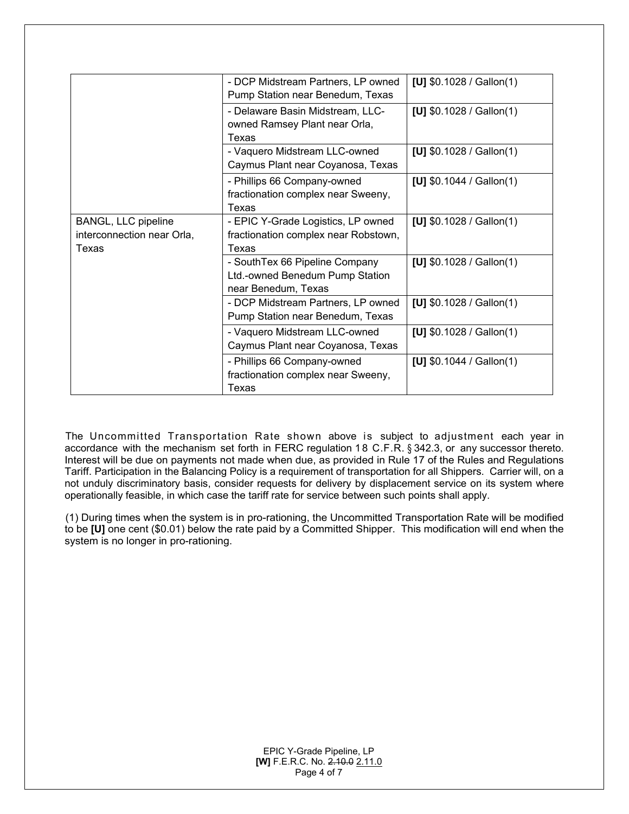|                                                            | - DCP Midstream Partners, LP owned<br>Pump Station near Benedum, Texas                   | [U] $$0.1028 /$ Gallon(1) |
|------------------------------------------------------------|------------------------------------------------------------------------------------------|---------------------------|
|                                                            | - Delaware Basin Midstream, LLC-<br>owned Ramsey Plant near Orla,<br>Texas               | [U] $$0.1028 /$ Gallon(1) |
|                                                            | - Vaquero Midstream LLC-owned<br>Caymus Plant near Coyanosa, Texas                       | [U] $$0.1028 /$ Gallon(1) |
|                                                            | - Phillips 66 Company-owned<br>fractionation complex near Sweeny,<br>Texas               | [U] $$0.1044 /$ Gallon(1) |
| BANGL, LLC pipeline<br>interconnection near Orla,<br>Texas | - EPIC Y-Grade Logistics, LP owned<br>fractionation complex near Robstown,<br>Texas      | [U] $$0.1028 /$ Gallon(1) |
|                                                            | - SouthTex 66 Pipeline Company<br>Ltd.-owned Benedum Pump Station<br>near Benedum, Texas | [U] $$0.1028 /$ Gallon(1) |
|                                                            | - DCP Midstream Partners, LP owned<br>Pump Station near Benedum, Texas                   | [U] $$0.1028 /$ Gallon(1) |
|                                                            | - Vaquero Midstream LLC-owned<br>Caymus Plant near Coyanosa, Texas                       | [U] $$0.1028 /$ Gallon(1) |
|                                                            | - Phillips 66 Company-owned<br>fractionation complex near Sweeny,<br>Texas               | [U] $$0.1044 /$ Gallon(1) |

The Uncommitted Transportation Rate shown above is subject to adjustment each year in accordance with the mechanism set forth in FERC regulation 1 8 C.F.R. § 342.3, or any successor thereto. Interest will be due on payments not made when due, as provided in Rule 17 of the Rules and Regulations Tariff. Participation in the Balancing Policy is a requirement of transportation for all Shippers. Carrier will, on a not unduly discriminatory basis, consider requests for delivery by displacement service on its system where operationally feasible, in which case the tariff rate for service between such points shall apply.

(1) During times when the system is in pro-rationing, the Uncommitted Transportation Rate will be modified to be **[U]** one cent (\$0.01) below the rate paid by a Committed Shipper. This modification will end when the system is no longer in pro-rationing.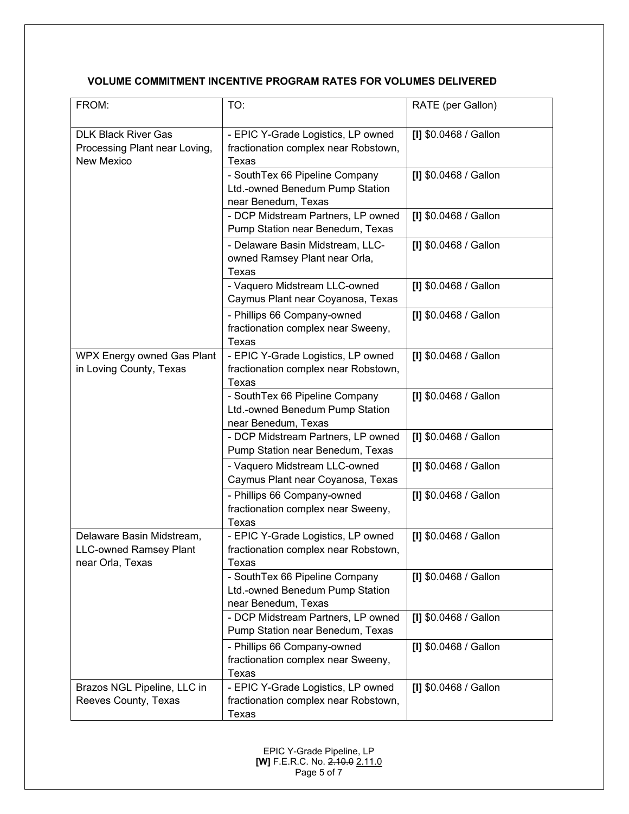### **VOLUME COMMITMENT INCENTIVE PROGRAM RATES FOR VOLUMES DELIVERED**

| FROM:                                                                          | TO:                                                                                      | RATE (per Gallon)     |
|--------------------------------------------------------------------------------|------------------------------------------------------------------------------------------|-----------------------|
| <b>DLK Black River Gas</b><br>Processing Plant near Loving,<br>New Mexico      | - EPIC Y-Grade Logistics, LP owned<br>fractionation complex near Robstown,<br>Texas      | [I] \$0.0468 / Gallon |
|                                                                                | - SouthTex 66 Pipeline Company<br>Ltd.-owned Benedum Pump Station<br>near Benedum, Texas | [I] \$0.0468 / Gallon |
|                                                                                | - DCP Midstream Partners, LP owned<br>Pump Station near Benedum, Texas                   | [I] \$0.0468 / Gallon |
|                                                                                | - Delaware Basin Midstream, LLC-<br>owned Ramsey Plant near Orla,<br>Texas               | [I] \$0.0468 / Gallon |
|                                                                                | - Vaquero Midstream LLC-owned<br>Caymus Plant near Coyanosa, Texas                       | [I] \$0.0468 / Gallon |
|                                                                                | - Phillips 66 Company-owned<br>fractionation complex near Sweeny,<br><b>Texas</b>        | [I] \$0.0468 / Gallon |
| <b>WPX Energy owned Gas Plant</b><br>in Loving County, Texas                   | - EPIC Y-Grade Logistics, LP owned<br>fractionation complex near Robstown,<br>Texas      | [I] \$0.0468 / Gallon |
|                                                                                | - SouthTex 66 Pipeline Company<br>Ltd.-owned Benedum Pump Station<br>near Benedum, Texas | [I] \$0.0468 / Gallon |
|                                                                                | - DCP Midstream Partners, LP owned<br>Pump Station near Benedum, Texas                   | [I] \$0.0468 / Gallon |
|                                                                                | - Vaquero Midstream LLC-owned<br>Caymus Plant near Coyanosa, Texas                       | [I] \$0.0468 / Gallon |
|                                                                                | - Phillips 66 Company-owned<br>fractionation complex near Sweeny,<br>Texas               | [I] \$0.0468 / Gallon |
| Delaware Basin Midstream,<br><b>LLC-owned Ramsey Plant</b><br>near Orla, Texas | - EPIC Y-Grade Logistics, LP owned<br>fractionation complex near Robstown,<br>Texas      | [I] \$0.0468 / Gallon |
|                                                                                | - SouthTex 66 Pipeline Company<br>Ltd.-owned Benedum Pump Station<br>near Benedum, Texas | [I] \$0.0468 / Gallon |
|                                                                                | - DCP Midstream Partners, LP owned<br>Pump Station near Benedum, Texas                   | [I] \$0.0468 / Gallon |
|                                                                                | - Phillips 66 Company-owned<br>fractionation complex near Sweeny,<br>Texas               | [I] \$0.0468 / Gallon |
| Brazos NGL Pipeline, LLC in<br>Reeves County, Texas                            | - EPIC Y-Grade Logistics, LP owned<br>fractionation complex near Robstown,<br>Texas      | [I] \$0.0468 / Gallon |

EPIC Y-Grade Pipeline, LP **[W]** F.E.R.C. No. 2.10.0 2.11.0 Page 5 of 7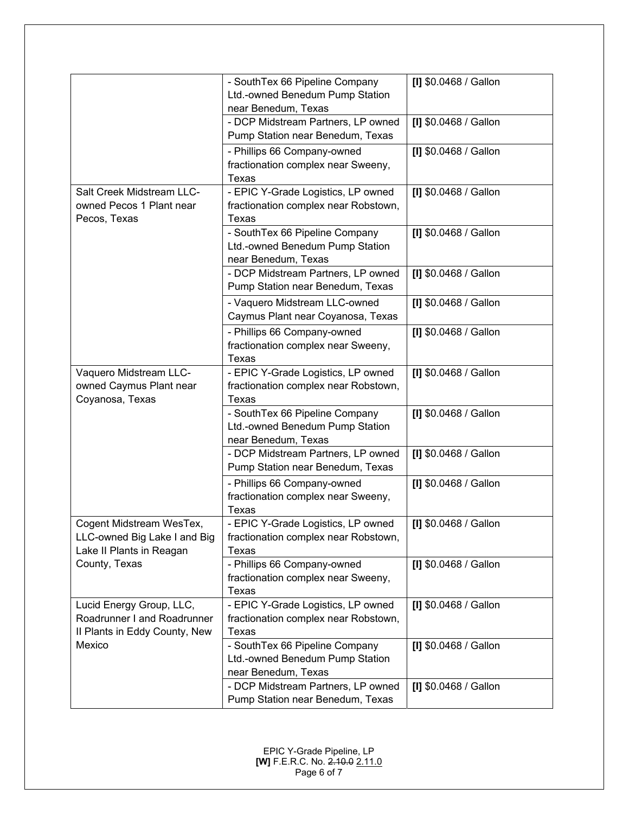|                                                                                          | - SouthTex 66 Pipeline Company<br>Ltd.-owned Benedum Pump Station<br>near Benedum, Texas | [I] \$0.0468 / Gallon |
|------------------------------------------------------------------------------------------|------------------------------------------------------------------------------------------|-----------------------|
|                                                                                          | - DCP Midstream Partners, LP owned<br>Pump Station near Benedum, Texas                   | [I] \$0.0468 / Gallon |
|                                                                                          | - Phillips 66 Company-owned<br>fractionation complex near Sweeny,<br>Texas               | [I] \$0.0468 / Gallon |
| Salt Creek Midstream LLC-<br>owned Pecos 1 Plant near<br>Pecos, Texas                    | - EPIC Y-Grade Logistics, LP owned<br>fractionation complex near Robstown,<br>Texas      | [I] \$0.0468 / Gallon |
|                                                                                          | - SouthTex 66 Pipeline Company<br>Ltd.-owned Benedum Pump Station<br>near Benedum, Texas | [I] \$0.0468 / Gallon |
|                                                                                          | - DCP Midstream Partners, LP owned<br>Pump Station near Benedum, Texas                   | [I] \$0.0468 / Gallon |
|                                                                                          | - Vaquero Midstream LLC-owned<br>Caymus Plant near Coyanosa, Texas                       | [I] \$0.0468 / Gallon |
|                                                                                          | - Phillips 66 Company-owned<br>fractionation complex near Sweeny,<br><b>Texas</b>        | [I] \$0.0468 / Gallon |
| Vaquero Midstream LLC-<br>owned Caymus Plant near<br>Coyanosa, Texas                     | - EPIC Y-Grade Logistics, LP owned<br>fractionation complex near Robstown,<br>Texas      | [I] \$0.0468 / Gallon |
|                                                                                          | - SouthTex 66 Pipeline Company<br>Ltd.-owned Benedum Pump Station<br>near Benedum, Texas | [I] \$0.0468 / Gallon |
|                                                                                          | - DCP Midstream Partners, LP owned<br>Pump Station near Benedum, Texas                   | [I] \$0.0468 / Gallon |
|                                                                                          | - Phillips 66 Company-owned<br>fractionation complex near Sweeny,<br>Texas               | [I] \$0.0468 / Gallon |
| Cogent Midstream WesTex,<br>LLC-owned Big Lake I and Big<br>Lake II Plants in Reagan     | - EPIC Y-Grade Logistics, LP owned<br>fractionation complex near Robstown,<br>Texas      | [I] \$0.0468 / Gallon |
| County, Texas                                                                            | - Phillips 66 Company-owned<br>fractionation complex near Sweeny,<br>Texas               | [I] \$0.0468 / Gallon |
| Lucid Energy Group, LLC,<br>Roadrunner I and Roadrunner<br>Il Plants in Eddy County, New | - EPIC Y-Grade Logistics, LP owned<br>fractionation complex near Robstown,<br>Texas      | [I] \$0.0468 / Gallon |
| Mexico                                                                                   | - SouthTex 66 Pipeline Company<br>Ltd.-owned Benedum Pump Station<br>near Benedum, Texas | [I] \$0.0468 / Gallon |
|                                                                                          | - DCP Midstream Partners, LP owned<br>Pump Station near Benedum, Texas                   | [I] \$0.0468 / Gallon |

EPIC Y-Grade Pipeline, LP **[W]** F.E.R.C. No. 2.10.0 2.11.0 Page 6 of 7